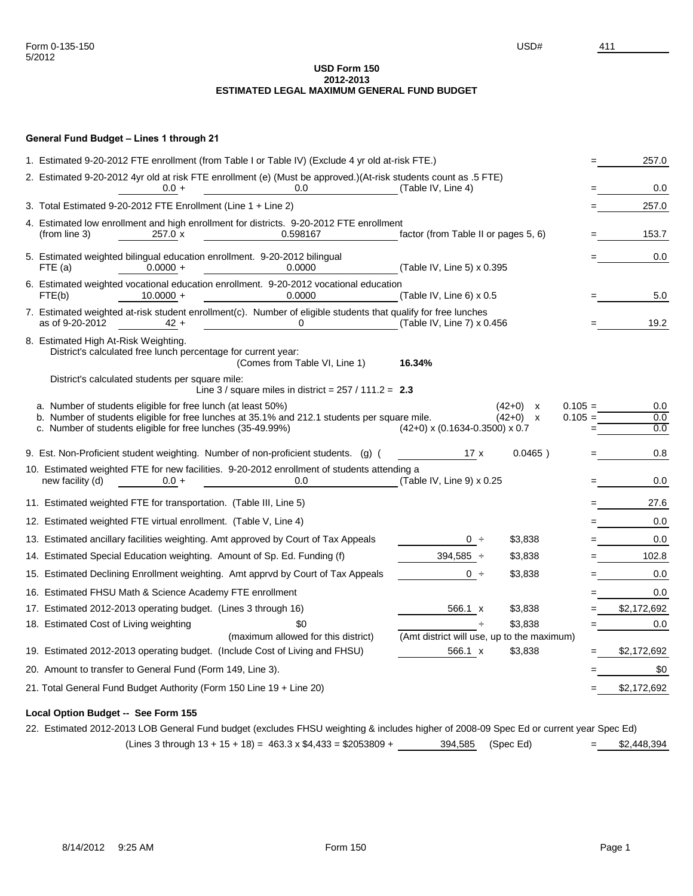#### **USD Form 150 2012-2013 ESTIMATED LEGAL MAXIMUM GENERAL FUND BUDGET**

# **General Fund Budget – Lines 1 through 21**

| 1. Estimated 9-20-2012 FTE enrollment (from Table I or Table IV) (Exclude 4 yr old at-risk FTE.)                                                                                                                            |                                                       |                                                        |                        | 257.0             |
|-----------------------------------------------------------------------------------------------------------------------------------------------------------------------------------------------------------------------------|-------------------------------------------------------|--------------------------------------------------------|------------------------|-------------------|
| 2. Estimated 9-20-2012 4yr old at risk FTE enrollment (e) (Must be approved.)(At-risk students count as .5 FTE)<br>0.0<br>$0.0 +$                                                                                           | (Table IV, Line 4)                                    |                                                        |                        | 0.0               |
| 3. Total Estimated 9-20-2012 FTE Enrollment (Line 1 + Line 2)                                                                                                                                                               |                                                       |                                                        |                        | 257.0             |
| 4. Estimated low enrollment and high enrollment for districts. 9-20-2012 FTE enrollment<br>0.598167<br>(from line 3)<br>$257.0 \times$                                                                                      | factor (from Table II or pages 5, 6)                  |                                                        |                        | 153.7             |
| 5. Estimated weighted bilingual education enrollment. 9-20-2012 bilingual<br>$0.0000 +$<br>FTE (a)<br>0.0000                                                                                                                | (Table IV, Line 5) x 0.395                            |                                                        |                        | 0.0               |
| 6. Estimated weighted vocational education enrollment. 9-20-2012 vocational education<br>$10.0000 +$<br>0.0000<br>FTE(b)                                                                                                    | (Table IV, Line 6) x 0.5                              |                                                        |                        | 5.0               |
| 7. Estimated weighted at-risk student enrollment(c). Number of eligible students that qualify for free lunches<br>as of 9-20-2012<br>$\mathbf{0}$<br>$42 +$                                                                 | (Table IV, Line 7) x 0.456                            |                                                        |                        | 19.2              |
| 8. Estimated High At-Risk Weighting.<br>District's calculated free lunch percentage for current year:<br>(Comes from Table VI, Line 1)                                                                                      | 16.34%                                                |                                                        |                        |                   |
| District's calculated students per square mile:<br>Line 3 / square miles in district = $257$ / 111.2 = 2.3                                                                                                                  |                                                       |                                                        |                        |                   |
| a. Number of students eligible for free lunch (at least 50%)<br>b. Number of students eligible for free lunches at 35.1% and 212.1 students per square mile.<br>c. Number of students eligible for free lunches (35-49.99%) | $(42+0)$ x $(0.1634-0.3500)$ x 0.7                    | $(42+0)$<br>X<br>$(42+0)$<br>$\boldsymbol{\mathsf{x}}$ | $0.105 =$<br>$0.105 =$ | 0.0<br>0.0<br>0.0 |
| 9. Est. Non-Proficient student weighting. Number of non-proficient students. (g) (                                                                                                                                          | 17x                                                   | $0.0465$ )                                             |                        | 0.8               |
| 10. Estimated weighted FTE for new facilities. 9-20-2012 enrollment of students attending a<br>new facility (d)<br>$0.0 +$<br>0.0                                                                                           | (Table IV, Line 9) x 0.25                             |                                                        |                        | 0.0               |
| 11. Estimated weighted FTE for transportation. (Table III, Line 5)                                                                                                                                                          |                                                       |                                                        |                        | 27.6              |
| 12. Estimated weighted FTE virtual enrollment. (Table V, Line 4)                                                                                                                                                            |                                                       |                                                        |                        | 0.0               |
| 13. Estimated ancillary facilities weighting. Amt approved by Court of Tax Appeals                                                                                                                                          | 0 ÷                                                   | \$3,838                                                |                        | 0.0               |
| 14. Estimated Special Education weighting. Amount of Sp. Ed. Funding (f)                                                                                                                                                    | $394,585 \div$                                        | \$3,838                                                |                        | 102.8             |
| 15. Estimated Declining Enrollment weighting. Amt apprvd by Court of Tax Appeals                                                                                                                                            | $0 \div$                                              | \$3,838                                                |                        | 0.0               |
| 16. Estimated FHSU Math & Science Academy FTE enrollment                                                                                                                                                                    |                                                       |                                                        |                        | 0.0               |
| 17. Estimated 2012-2013 operating budget. (Lines 3 through 16)                                                                                                                                                              | 566.1 x                                               | \$3,838                                                |                        | \$2,172,692       |
| \$0<br>18. Estimated Cost of Living weighting                                                                                                                                                                               |                                                       | \$3,838                                                |                        | 0.0               |
| (maximum allowed for this district)<br>19. Estimated 2012-2013 operating budget. (Include Cost of Living and FHSU)                                                                                                          | (Amt district will use, up to the maximum)<br>566.1 x | \$3,838                                                |                        | \$2,172,692       |
| 20. Amount to transfer to General Fund (Form 149, Line 3).                                                                                                                                                                  |                                                       |                                                        |                        | \$0               |
|                                                                                                                                                                                                                             |                                                       |                                                        |                        |                   |
| 21. Total General Fund Budget Authority (Form 150 Line 19 + Line 20)                                                                                                                                                        |                                                       |                                                        |                        | \$2,172,692       |

# **Local Option Budget -- See Form 155**

22. Estimated 2012-2013 LOB General Fund budget (excludes FHSU weighting & includes higher of 2008-09 Spec Ed or current year Spec Ed)  $(Lines 3 through 13 + 15 + 18) = 463.3 \times $4,433 = $2053809 +$  394,585 (Spec Ed) = \$2,448,394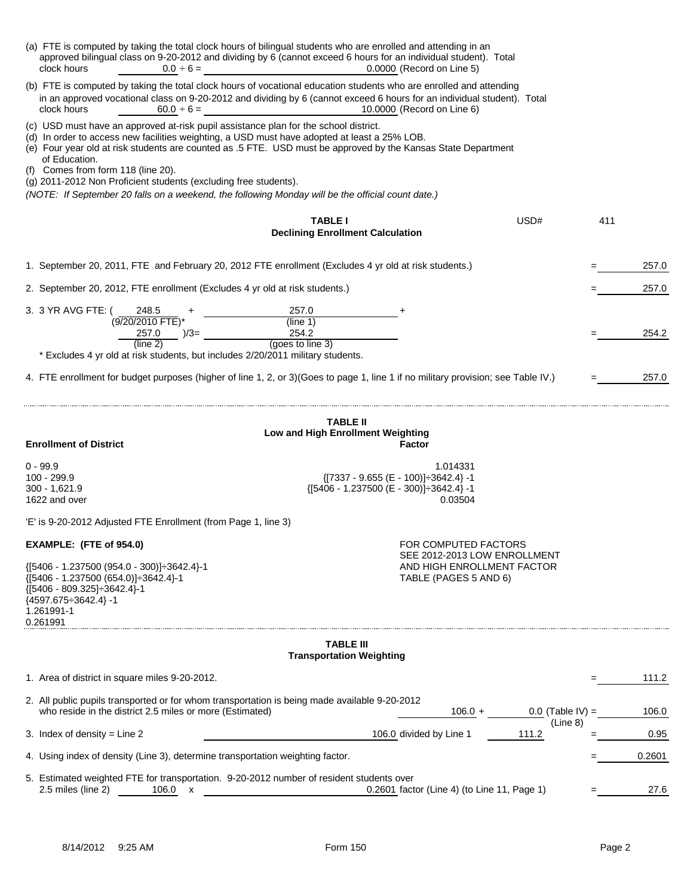| (a) FTE is computed by taking the total clock hours of bilingual students who are enrolled and attending in an<br>approved bilingual class on 9-20-2012 and dividing by 6 (cannot exceed 6 hours for an individual student). Total<br>clock hours<br>$0.0 \div 6 =$                                                                                                                                                                                                                                                                   |                                                           | 0.0000 (Record on Line 5)                                             |                                |     |        |
|---------------------------------------------------------------------------------------------------------------------------------------------------------------------------------------------------------------------------------------------------------------------------------------------------------------------------------------------------------------------------------------------------------------------------------------------------------------------------------------------------------------------------------------|-----------------------------------------------------------|-----------------------------------------------------------------------|--------------------------------|-----|--------|
| (b) FTE is computed by taking the total clock hours of vocational education students who are enrolled and attending<br>in an approved vocational class on 9-20-2012 and dividing by 6 (cannot exceed 6 hours for an individual student). Total<br>clock hours<br>10.0000 (Record on Line 6)<br>$60.0 \div 6 =$                                                                                                                                                                                                                        |                                                           |                                                                       |                                |     |        |
| (c) USD must have an approved at-risk pupil assistance plan for the school district.<br>(d) In order to access new facilities weighting, a USD must have adopted at least a 25% LOB.<br>(e) Four year old at risk students are counted as .5 FTE. USD must be approved by the Kansas State Department<br>of Education.<br>(f) Comes from form 118 (line 20).<br>(g) 2011-2012 Non Proficient students (excluding free students).<br>(NOTE: If September 20 falls on a weekend, the following Monday will be the official count date.) |                                                           |                                                                       |                                |     |        |
|                                                                                                                                                                                                                                                                                                                                                                                                                                                                                                                                       | <b>TABLE I</b><br><b>Declining Enrollment Calculation</b> |                                                                       | USD#                           | 411 |        |
| 1. September 20, 2011, FTE and February 20, 2012 FTE enrollment (Excludes 4 yr old at risk students.)                                                                                                                                                                                                                                                                                                                                                                                                                                 |                                                           |                                                                       |                                |     | 257.0  |
| 2. September 20, 2012, FTE enrollment (Excludes 4 yr old at risk students.)                                                                                                                                                                                                                                                                                                                                                                                                                                                           |                                                           |                                                                       |                                |     | 257.0  |
| 3. 3 YR AVG FTE: (<br>248.5<br>(9/20/2010 FTE)*                                                                                                                                                                                                                                                                                                                                                                                                                                                                                       | 257.0<br>(line 1)                                         |                                                                       |                                |     |        |
| $257.0$ $)/3=$ _<br>(line 2)                                                                                                                                                                                                                                                                                                                                                                                                                                                                                                          | 254.2<br>(goes to line 3)                                 |                                                                       |                                |     | 254.2  |
| * Excludes 4 yr old at risk students, but includes 2/20/2011 military students.<br>4. FTE enrollment for budget purposes (higher of line 1, 2, or 3) (Goes to page 1, line 1 if no military provision; see Table IV.)                                                                                                                                                                                                                                                                                                                 |                                                           |                                                                       |                                |     | 257.0  |
|                                                                                                                                                                                                                                                                                                                                                                                                                                                                                                                                       | <b>TABLE II</b>                                           |                                                                       |                                |     |        |
| <b>Enrollment of District</b>                                                                                                                                                                                                                                                                                                                                                                                                                                                                                                         | Low and High Enrollment Weighting                         | Factor                                                                |                                |     |        |
| $0 - 99.9$<br>100 - 299.9<br>$300 - 1,621.9$<br>1622 and over                                                                                                                                                                                                                                                                                                                                                                                                                                                                         | $\{ [ 5406 - 1.237500 (E - 300) ] \div 3642.4 \} - 1$     | 1.014331<br>$\{[7337 - 9.655 (E - 100)] \div 3642.4\} - 1$<br>0.03504 |                                |     |        |
| 'E' is 9-20-2012 Adjusted FTE Enrollment (from Page 1, line 3)                                                                                                                                                                                                                                                                                                                                                                                                                                                                        |                                                           |                                                                       |                                |     |        |
| EXAMPLE: (FTE of 954.0)                                                                                                                                                                                                                                                                                                                                                                                                                                                                                                               |                                                           | FOR COMPUTED FACTORS<br>SEE 2012-2013 LOW ENROLLMENT                  |                                |     |        |
| {[5406 - 1.237500 (954.0 - 300)] $\div$ 3642.4}-1<br>{[5406 - 1.237500 (654.0)] ÷ 3642.4}-1<br>${ [5406 - 809.325] \div 3642.4 }$ -1<br>${4597.675 \div 3642.4}$ -1<br>1.261991-1<br>0.261991                                                                                                                                                                                                                                                                                                                                         |                                                           | AND HIGH ENROLLMENT FACTOR<br>TABLE (PAGES 5 AND 6)                   |                                |     |        |
|                                                                                                                                                                                                                                                                                                                                                                                                                                                                                                                                       | <b>TABLE III</b><br><b>Transportation Weighting</b>       |                                                                       |                                |     |        |
| 1. Area of district in square miles 9-20-2012.                                                                                                                                                                                                                                                                                                                                                                                                                                                                                        |                                                           |                                                                       |                                |     | 111.2  |
| 2. All public pupils transported or for whom transportation is being made available 9-20-2012                                                                                                                                                                                                                                                                                                                                                                                                                                         |                                                           |                                                                       |                                |     |        |
| who reside in the district 2.5 miles or more (Estimated)                                                                                                                                                                                                                                                                                                                                                                                                                                                                              |                                                           | $106.0 +$                                                             | $0.0$ (Table IV) =<br>(Line 8) |     | 106.0  |
| 3. Index of density = Line $2$                                                                                                                                                                                                                                                                                                                                                                                                                                                                                                        |                                                           | 106.0 divided by Line 1                                               | 111.2                          |     | 0.95   |
| 4. Using index of density (Line 3), determine transportation weighting factor.                                                                                                                                                                                                                                                                                                                                                                                                                                                        |                                                           |                                                                       |                                |     | 0.2601 |
| 5. Estimated weighted FTE for transportation. 9-20-2012 number of resident students over<br>2.5 miles (line 2)<br>106.0 x                                                                                                                                                                                                                                                                                                                                                                                                             |                                                           | 0.2601 factor (Line 4) (to Line 11, Page 1)                           |                                |     | 27.6   |
|                                                                                                                                                                                                                                                                                                                                                                                                                                                                                                                                       |                                                           |                                                                       |                                |     |        |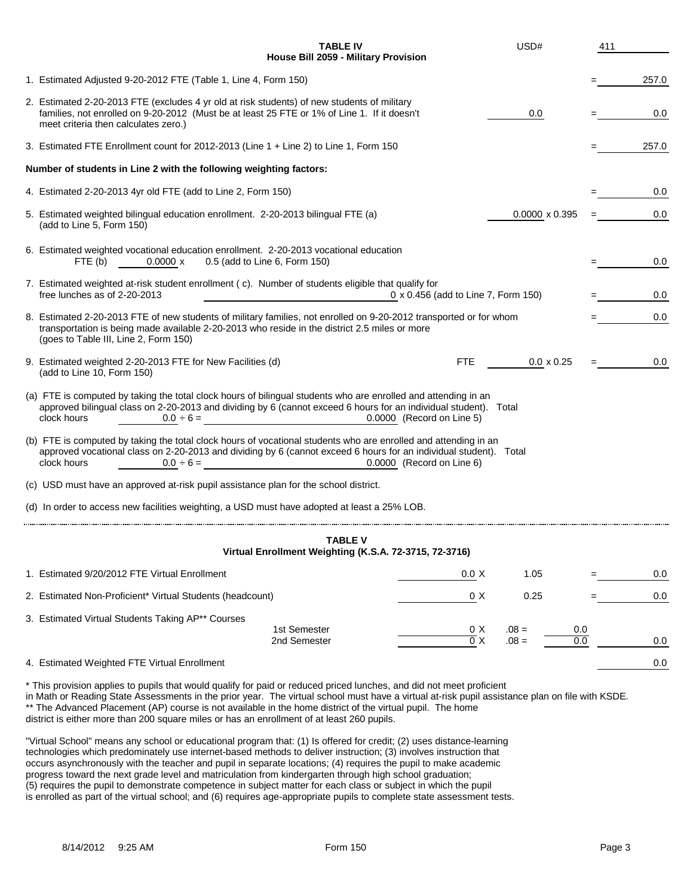| House Bill 2059 - Military Provision<br>1. Estimated Adjusted 9-20-2012 FTE (Table 1, Line 4, Form 150)                                                                                                                                                                                            |       |  |  |  |  |
|----------------------------------------------------------------------------------------------------------------------------------------------------------------------------------------------------------------------------------------------------------------------------------------------------|-------|--|--|--|--|
|                                                                                                                                                                                                                                                                                                    | 257.0 |  |  |  |  |
| 2. Estimated 2-20-2013 FTE (excludes 4 yr old at risk students) of new students of military<br>families, not enrolled on 9-20-2012 (Must be at least 25 FTE or 1% of Line 1. If it doesn't<br>0.0<br>meet criteria then calculates zero.)                                                          | 0.0   |  |  |  |  |
| 3. Estimated FTE Enrollment count for 2012-2013 (Line 1 + Line 2) to Line 1, Form 150                                                                                                                                                                                                              | 257.0 |  |  |  |  |
| Number of students in Line 2 with the following weighting factors:                                                                                                                                                                                                                                 |       |  |  |  |  |
| 4. Estimated 2-20-2013 4yr old FTE (add to Line 2, Form 150)                                                                                                                                                                                                                                       | 0.0   |  |  |  |  |
| 5. Estimated weighted bilingual education enrollment. 2-20-2013 bilingual FTE (a)<br>$0.0000 \times 0.395$<br>(add to Line 5, Form 150)                                                                                                                                                            | 0.0   |  |  |  |  |
| 6. Estimated weighted vocational education enrollment. 2-20-2013 vocational education<br>0.5 (add to Line 6, Form 150)<br>0.0000 x<br>FTE (b)                                                                                                                                                      |       |  |  |  |  |
| 7. Estimated weighted at-risk student enrollment (c). Number of students eligible that qualify for<br>free lunches as of 2-20-2013<br>0 x 0.456 (add to Line 7, Form 150)                                                                                                                          |       |  |  |  |  |
| 8. Estimated 2-20-2013 FTE of new students of military families, not enrolled on 9-20-2012 transported or for whom<br>transportation is being made available 2-20-2013 who reside in the district 2.5 miles or more<br>(goes to Table III, Line 2, Form 150)                                       |       |  |  |  |  |
| 9. Estimated weighted 2-20-2013 FTE for New Facilities (d)<br><b>FTE</b><br>$0.0 \times 0.25$<br>(add to Line 10, Form 150)                                                                                                                                                                        | 0.0   |  |  |  |  |
| (a) FTE is computed by taking the total clock hours of bilingual students who are enrolled and attending in an<br>approved bilingual class on 2-20-2013 and dividing by 6 (cannot exceed 6 hours for an individual student). Total<br>clock hours<br>0.0000 (Record on Line 5)<br>$0.0 \div 6 =$   |       |  |  |  |  |
| (b) FTE is computed by taking the total clock hours of vocational students who are enrolled and attending in an<br>approved vocational class on 2-20-2013 and dividing by 6 (cannot exceed 6 hours for an individual student). Total<br>clock hours<br>0.0000 (Record on Line 6)<br>$0.0 \div 6 =$ |       |  |  |  |  |
| (c) USD must have an approved at-risk pupil assistance plan for the school district.                                                                                                                                                                                                               |       |  |  |  |  |
| (d) In order to access new facilities weighting, a USD must have adopted at least a 25% LOB.                                                                                                                                                                                                       |       |  |  |  |  |
| <b>TABLE V</b><br>Virtual Enrollment Weighting (K.S.A. 72-3715, 72-3716)                                                                                                                                                                                                                           |       |  |  |  |  |
| 1. Estimated 9/20/2012 FTE Virtual Enrollment<br>0.0 X<br>1.05                                                                                                                                                                                                                                     | 0.0   |  |  |  |  |
| 2. Estimated Non-Proficient* Virtual Students (headcount)<br>0 X<br>0.25                                                                                                                                                                                                                           | 0.0   |  |  |  |  |
| 3. Estimated Virtual Students Taking AP** Courses<br>1st Semester<br>0 X<br>$.08 =$<br>0.0<br>$\overline{0}$ X<br>$.08 =$<br>0.0<br>2nd Semester                                                                                                                                                   | 0.0   |  |  |  |  |
| 4. Estimated Weighted FTE Virtual Enrollment                                                                                                                                                                                                                                                       | 0.0   |  |  |  |  |

\* This provision applies to pupils that would qualify for paid or reduced priced lunches, and did not meet proficient

in Math or Reading State Assessments in the prior year. The virtual school must have a virtual at-risk pupil assistance plan on file with KSDE.

\*\* The Advanced Placement (AP) course is not available in the home district of the virtual pupil. The home

district is either more than 200 square miles or has an enrollment of at least 260 pupils.

"Virtual School" means any school or educational program that: (1) Is offered for credit; (2) uses distance-learning technologies which predominately use internet-based methods to deliver instruction; (3) involves instruction that occurs asynchronously with the teacher and pupil in separate locations; (4) requires the pupil to make academic progress toward the next grade level and matriculation from kindergarten through high school graduation; (5) requires the pupil to demonstrate competence in subject matter for each class or subject in which the pupil is enrolled as part of the virtual school; and (6) requires age-appropriate pupils to complete state assessment tests.